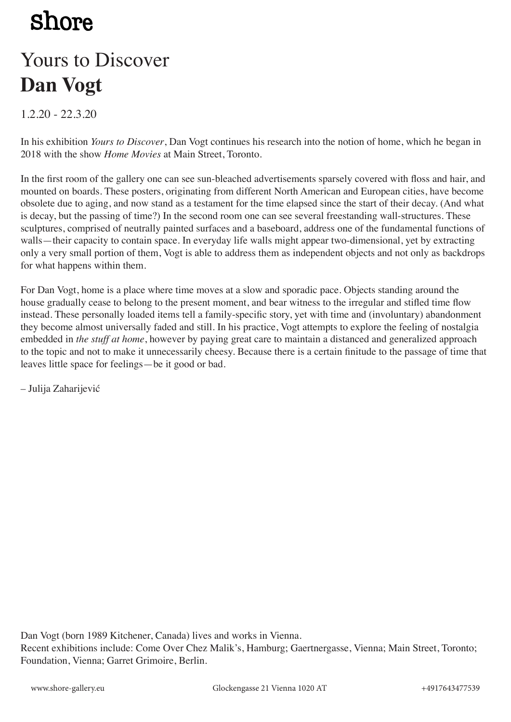## **Shore**

### Yours to Discover **Dan Vogt**

1.2.20 - 22.3.20

In his exhibition *Yours to Discover*, Dan Vogt continues his research into the notion of home, which he began in 2018 with the show *Home Movies* at Main Street, Toronto.

In the first room of the gallery one can see sun-bleached advertisements sparsely covered with floss and hair, and mounted on boards. These posters, originating from different North American and European cities, have become obsolete due to aging, and now stand as a testament for the time elapsed since the start of their decay. (And what is decay, but the passing of time?) In the second room one can see several freestanding wall-structures. These sculptures, comprised of neutrally painted surfaces and a baseboard, address one of the fundamental functions of walls—their capacity to contain space. In everyday life walls might appear two-dimensional, yet by extracting only a very small portion of them, Vogt is able to address them as independent objects and not only as backdrops for what happens within them.

For Dan Vogt, home is a place where time moves at a slow and sporadic pace. Objects standing around the house gradually cease to belong to the present moment, and bear witness to the irregular and stifled time flow instead. These personally loaded items tell a family-specific story, yet with time and (involuntary) abandonment they become almost universally faded and still. In his practice, Vogt attempts to explore the feeling of nostalgia embedded in *the stuff at home*, however by paying great care to maintain a distanced and generalized approach to the topic and not to make it unnecessarily cheesy. Because there is a certain finitude to the passage of time that leaves little space for feelings—be it good or bad.

– Julija Zaharijević

Dan Vogt (born 1989 Kitchener, Canada) lives and works in Vienna.

Recent exhibitions include: Come Over Chez Malik's, Hamburg; Gaertnergasse, Vienna; Main Street, Toronto; Foundation, Vienna; Garret Grimoire, Berlin.